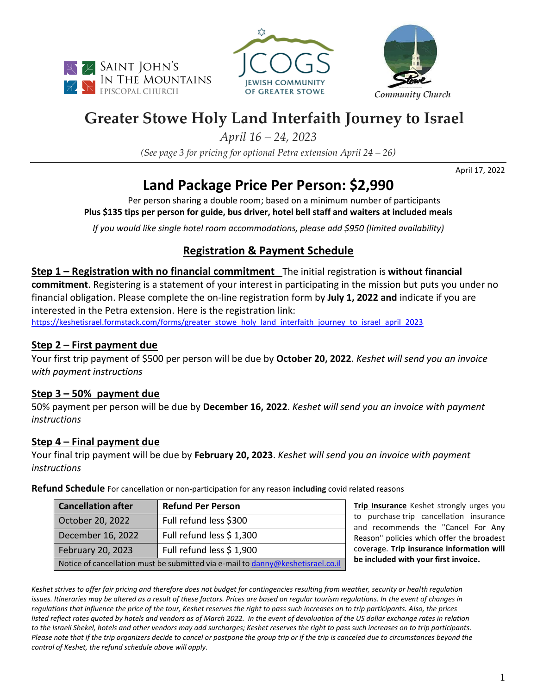





# **Greater Stowe Holy Land Interfaith Journey to Israel**

*April 16 – 24, 2023*

*(See page 3 for pricing for optional Petra extension April 24 – 26)*

April 17, 2022

# **Land Package Price Per Person: \$2,990**

Per person sharing a double room; based on a minimum number of participants **Plus \$135 tips per person for guide, bus driver, hotel bell staff and waiters at included meals**

*If you would like single hotel room accommodations, please add \$950 (limited availability)*

# **Registration & Payment Schedule**

**Step 1 – Registration with no financial commitment** The initial registration is **without financial commitment**. Registering is a statement of your interest in participating in the mission but puts you under no financial obligation. Please complete the on-line registration form by **July 1, 2022 and** indicate if you are interested in the Petra extension. Here is the registration link: [https://keshetisrael.formstack.com/forms/greater\\_stowe\\_holy\\_land\\_interfaith\\_journey\\_to\\_israel\\_april\\_2023](https://keshetisrael.formstack.com/forms/greater_stowe_holy_land_interfaith_journey_to_israel_april_2023)

### **Step 2 – First payment due**

Your first trip payment of \$500 per person will be due by **October 20, 2022**. *Keshet will send you an invoice with payment instructions*

# **Step 3 – 50% payment due**

50% payment per person will be due by **December 16, 2022**. *Keshet will send you an invoice with payment instructions*

# **Step 4 – Final payment due**

Your final trip payment will be due by **February 20, 2023**. *Keshet will send you an invoice with payment instructions*

**Refund Schedule** For cancellation or non-participation for any reason **including** covid related reasons

| <b>Cancellation after</b>                                                       | <b>Refund Per Person</b> |  |
|---------------------------------------------------------------------------------|--------------------------|--|
| October 20, 2022                                                                | Full refund less \$300   |  |
| December 16, 2022                                                               | Full refund less \$1,300 |  |
| February 20, 2023                                                               | Full refund less \$1,900 |  |
| Notice of cancellation must be submitted via e-mail to danny@keshetisrael.co.il |                          |  |

**Trip Insurance** Keshet strongly urges you to purchase trip cancellation insurance and recommends the "Cancel For Any Reason" policies which offer the broadest coverage. **Trip insurance information will be included with your first invoice.**

*Keshet strives to offer fair pricing and therefore does not budget for contingencies resulting from weather, security or health regulation issues. Itineraries may be altered as a result of these factors. Prices are based on regular tourism regulations. In the event of changes in regulations that influence the price of the tour, Keshet reserves the right to pass such increases on to trip participants. Also, the prices listed reflect rates quoted by hotels and vendors as of March 2022. In the event of devaluation of the US dollar exchange rates in relation to the Israeli Shekel, hotels and other vendors may add surcharges; Keshet reserves the right to pass such increases on to trip participants. Please note that if the trip organizers decide to cancel or postpone the group trip or if the trip is canceled due to circumstances beyond the control of Keshet, the refund schedule above will apply.*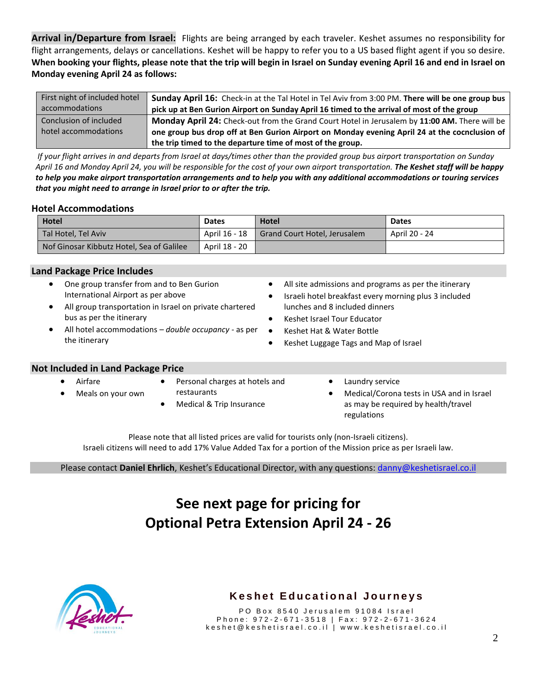**Arrival in/Departure from Israel:** Flights are being arranged by each traveler. Keshet assumes no responsibility for flight arrangements, delays or cancellations. Keshet will be happy to refer you to a US based flight agent if you so desire. **When booking your flights, please note that the trip will begin in Israel on Sunday evening April 16 and end in Israel on Monday evening April 24 as follows:**

| First night of included hotel | Sunday April 16: Check-in at the Tal Hotel in Tel Aviv from 3:00 PM. There will be one group bus |
|-------------------------------|--------------------------------------------------------------------------------------------------|
| accommodations                | pick up at Ben Gurion Airport on Sunday April 16 timed to the arrival of most of the group       |
| Conclusion of included        | Monday April 24: Check-out from the Grand Court Hotel in Jerusalem by 11:00 AM. There will be    |
| hotel accommodations          | one group bus drop off at Ben Gurion Airport on Monday evening April 24 at the cocnclusion of    |
|                               | the trip timed to the departure time of most of the group.                                       |

 *If your flight arrives in and departs from Israel at days/times other than the provided group bus airport transportation on Sunday April 16 and Monday April 24, you will be responsible for the cost of your own airport transportation. The Keshet staff will be happy to help you make airport transportation arrangements and to help you with any additional accommodations or touring services that you might need to arrange in Israel prior to or after the trip.*

#### **Hotel Accommodations**

| Hotel                                     | <b>Dates</b>  | <b>Hotel</b>                 | <b>Dates</b>  |
|-------------------------------------------|---------------|------------------------------|---------------|
| Tal Hotel, Tel Aviv                       | April 16 - 18 | Grand Court Hotel, Jerusalem | April 20 - 24 |
| Nof Ginosar Kibbutz Hotel, Sea of Galilee | April 18 - 20 |                              |               |

#### **Land Package Price Includes**

- One group transfer from and to Ben Gurion International Airport as per above
- All group transportation in Israel on private chartered bus as per the itinerary
- All hotel accommodations *double occupancy -* as per the itinerary
- All site admissions and programs as per the itinerary
- Israeli hotel breakfast every morning plus 3 included lunches and 8 included dinners
- Keshet Israel Tour Educator
- Keshet Hat & Water Bottle
- Keshet Luggage Tags and Map of Israel

#### **Not Included in Land Package Price**

- Airfare
- Meals on your own
- Personal charges at hotels and
- restaurants
	- Medical & Trip Insurance
- Laundry service
- Medical/Corona tests in USA and in Israel as may be required by health/travel regulations

Please note that all listed prices are valid for tourists only (non-Israeli citizens). Israeli citizens will need to add 17% Value Added Tax for a portion of the Mission price as per Israeli law.

Please contact **Daniel Ehrlich**, Keshet's Educational Director, with any questions: danny@keshetisrael.co.il

# **See next page for pricing for Optional Petra Extension April 24 - 26**



### **Keshet Educational Journeys**

PO Box 8540 Jerusalem 91084 Israel Phone: 972-2-671-3518 | Fax: 972-2-671-3624 k e s h e t @ k e s h e t i s r a e l . c o . i l | w w w . k e s h e t i s r a e l . c o . i l